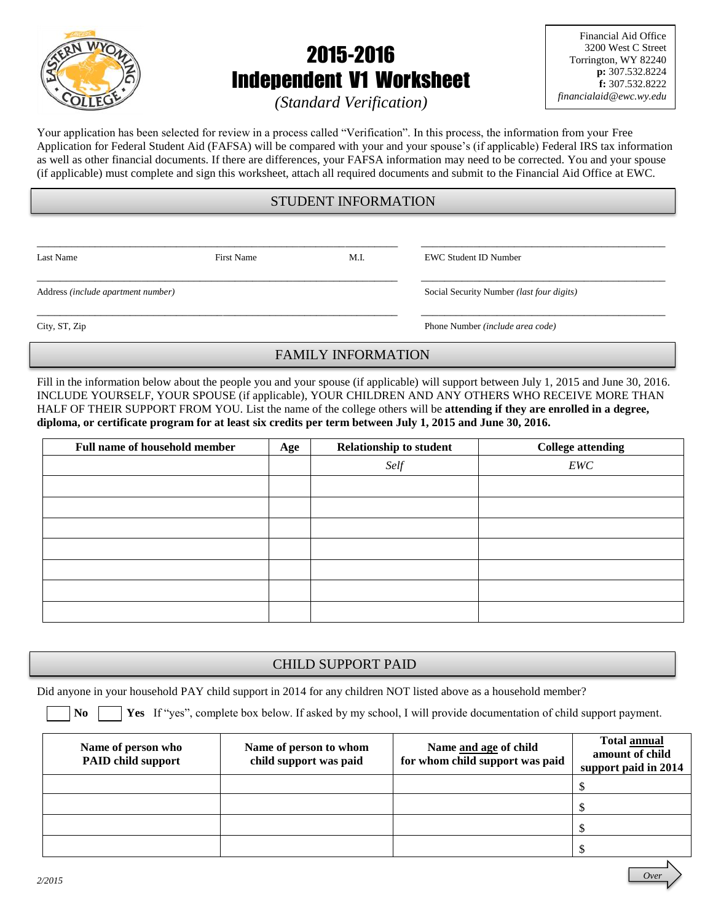

# 2015-2016 Independent V1 Worksheet

Financial Aid Office 3200 West C Street Torrington, WY 82240 **p:** 307.532.8224 **f:** 307.532.8222 *financialaid@ewc.wy.edu*

*(Standard Verification)*

Your application has been selected for review in a process called "Verification". In this process, the information from your Free Application for Federal Student Aid (FAFSA) will be compared with your and your spouse's (if applicable) Federal IRS tax information as well as other financial documents. If there are differences, your FAFSA information may need to be corrected. You and your spouse (if applicable) must complete and sign this worksheet, attach all required documents and submit to the Financial Aid Office at EWC.

## STUDENT INFORMATION

\_\_\_\_\_\_\_\_\_\_\_\_\_\_\_\_\_\_\_\_\_\_\_\_\_\_\_\_\_\_\_\_\_\_\_\_\_\_\_\_\_\_\_\_\_\_\_\_\_\_\_\_\_\_\_\_\_\_\_\_\_\_ \_\_\_\_\_\_\_\_\_\_\_\_\_\_\_\_\_\_\_\_\_\_\_\_\_\_\_\_\_\_\_\_\_\_\_\_\_\_\_\_\_\_

\_\_\_\_\_\_\_\_\_\_\_\_\_\_\_\_\_\_\_\_\_\_\_\_\_\_\_\_\_\_\_\_\_\_\_\_\_\_\_\_\_\_\_\_\_\_\_\_\_\_\_\_\_\_\_\_\_\_\_\_\_\_ \_\_\_\_\_\_\_\_\_\_\_\_\_\_\_\_\_\_\_\_\_\_\_\_\_\_\_\_\_\_\_\_\_\_\_\_\_\_\_\_\_\_

\_\_\_\_\_\_\_\_\_\_\_\_\_\_\_\_\_\_\_\_\_\_\_\_\_\_\_\_\_\_\_\_\_\_\_\_\_\_\_\_\_\_\_\_\_\_\_\_\_\_\_\_\_\_\_\_\_\_\_\_\_\_ \_\_\_\_\_\_\_\_\_\_\_\_\_\_\_\_\_\_\_\_\_\_\_\_\_\_\_\_\_\_\_\_\_\_\_\_\_\_\_\_\_\_

Last Name First Name First Name M.I. EWC Student ID Number

Address *(include apartment number)* Social Security Number *(last four digits)*

City, ST, Zip Phone Number *(include area code)*

## FAMILY INFORMATION

Fill in the information below about the people you and your spouse (if applicable) will support between July 1, 2015 and June 30, 2016. INCLUDE YOURSELF, YOUR SPOUSE (if applicable), YOUR CHILDREN AND ANY OTHERS WHO RECEIVE MORE THAN HALF OF THEIR SUPPORT FROM YOU. List the name of the college others will be **attending if they are enrolled in a degree, diploma, or certificate program for at least six credits per term between July 1, 2015 and June 30, 2016.**

| <b>Full name of household member</b> | Age | <b>Relationship to student</b> | <b>College attending</b> |
|--------------------------------------|-----|--------------------------------|--------------------------|
|                                      |     | Self                           | EWC                      |
|                                      |     |                                |                          |
|                                      |     |                                |                          |
|                                      |     |                                |                          |
|                                      |     |                                |                          |
|                                      |     |                                |                          |
|                                      |     |                                |                          |
|                                      |     |                                |                          |

## CHILD SUPPORT PAID

Did anyone in your household PAY child support in 2014 for any children NOT listed above as a household member?

**No Yes** If "yes", complete box below. If asked by my school, I will provide documentation of child support payment.

| Name of person who<br><b>PAID child support</b> | Name of person to whom<br>child support was paid | Name and age of child<br>for whom child support was paid | <b>Total annual</b><br>amount of child<br>support paid in 2014 |
|-------------------------------------------------|--------------------------------------------------|----------------------------------------------------------|----------------------------------------------------------------|
|                                                 |                                                  |                                                          |                                                                |
|                                                 |                                                  |                                                          |                                                                |
|                                                 |                                                  |                                                          |                                                                |
|                                                 |                                                  |                                                          |                                                                |